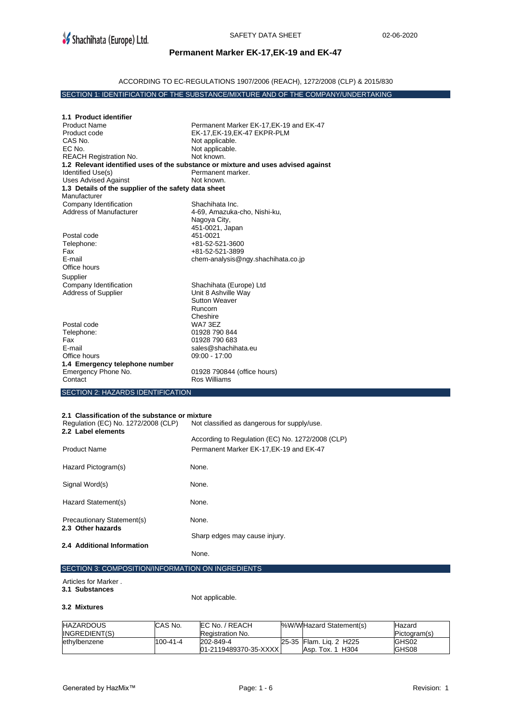## **Permanent Marker EK-17,EK-19 and EK-47**

## ACCORDING TO EC-REGULATIONS 1907/2006 (REACH), 1272/2008 (CLP) & 2015/830

### SECTION 1: IDENTIFICATION OF THE SUBSTANCE/MIXTURE AND OF THE COMPANY/UNDERTAKING

| 1.1 Product identifier                               |                                                                                          |
|------------------------------------------------------|------------------------------------------------------------------------------------------|
| <b>Product Name</b>                                  | Permanent Marker EK-17, EK-19 and EK-47                                                  |
| Product code                                         | EK-17, EK-19, EK-47 EKPR-PLM                                                             |
| CAS No.                                              | Not applicable.                                                                          |
| EC No.                                               | Not applicable.                                                                          |
| <b>REACH Registration No.</b>                        | Not known.                                                                               |
|                                                      | 1.2 Relevant identified uses of the substance or mixture and uses advised against        |
| Identified Use(s)                                    | Permanent marker.                                                                        |
| <b>Uses Advised Against</b>                          | Not known.                                                                               |
| 1.3 Details of the supplier of the safety data sheet |                                                                                          |
| Manufacturer                                         |                                                                                          |
| Company Identification                               | Shachihata Inc.                                                                          |
| <b>Address of Manufacturer</b>                       | 4-69, Amazuka-cho, Nishi-ku,                                                             |
|                                                      | Nagoya City,                                                                             |
|                                                      | 451-0021, Japan                                                                          |
| Postal code                                          | 451-0021                                                                                 |
| Telephone:                                           | +81-52-521-3600                                                                          |
| Fax                                                  | +81-52-521-3899                                                                          |
| F-mail                                               | chem-analysis@ngy.shachihata.co.jp                                                       |
| Office hours                                         |                                                                                          |
| Supplier                                             |                                                                                          |
| Company Identification                               | Shachihata (Europe) Ltd                                                                  |
| <b>Address of Supplier</b>                           | Unit 8 Ashville Way                                                                      |
|                                                      | <b>Sutton Weaver</b>                                                                     |
|                                                      | <b>Runcorn</b>                                                                           |
|                                                      | Cheshire                                                                                 |
| Postal code                                          | WA7 3EZ                                                                                  |
| Telephone:                                           | 01928 790 844                                                                            |
| Fax                                                  | 01928 790 683                                                                            |
| F-mail                                               | sales@shachihata.eu                                                                      |
| Office hours                                         | $09:00 - 17:00$                                                                          |
| 1.4 Emergency telephone number                       |                                                                                          |
| Emergency Phone No.                                  | 01928 790844 (office hours)                                                              |
| Contact                                              | Ros Williams                                                                             |
|                                                      |                                                                                          |
| <b>SECTION 2: HAZARDS IDENTIFICATION</b>             |                                                                                          |
|                                                      |                                                                                          |
| 2.1 Classification of the substance or mixture       |                                                                                          |
| Regulation (EC) No. 1272/2008 (CLP)                  | Not classified as dangerous for supply/use.                                              |
| 2.2 Label elements                                   |                                                                                          |
|                                                      | $A = -1$ $A = 0$ $A = 0$ $A = 0$ $A = 0$ $A = 0$ $A = 0$ $A = 0$ $A = 0$ $A = 0$ $A = 0$ |

| LL LUDVI VIVIIVIIV                              | According to Regulation (EC) No. 1272/2008 (CLP) |
|-------------------------------------------------|--------------------------------------------------|
| <b>Product Name</b>                             | Permanent Marker EK-17, EK-19 and EK-47          |
| Hazard Pictogram(s)                             | None.                                            |
| Signal Word(s)                                  | None.                                            |
| Hazard Statement(s)                             | None.                                            |
| Precautionary Statement(s)<br>2.3 Other hazards | None.                                            |
|                                                 | Sharp edges may cause injury.                    |
| 2.4 Additional Information                      | None.                                            |

#### SECTION 3: COMPOSITION/INFORMATION ON INGREDIENTS

# Articles for Marker .

**3.1 Substances** 

Not applicable.

#### **3.2 Mixtures**

| <b>HAZARDOUS</b> | CAS No.        | <b>IEC No. / REACH</b> | %W/WHazard Statement(s) | Hazard       |
|------------------|----------------|------------------------|-------------------------|--------------|
| INGREDIENT(S)    |                | Registration No.       |                         | Pictogram(s) |
| ethvlbenzene     | $100 - 41 - 4$ | 202-849-4              | 25-35 Flam. Lig. 2 H225 | GHS02        |
|                  |                | 01-2119489370-35-XXXXI | Asp. Tox. 1 H304        | GHS08        |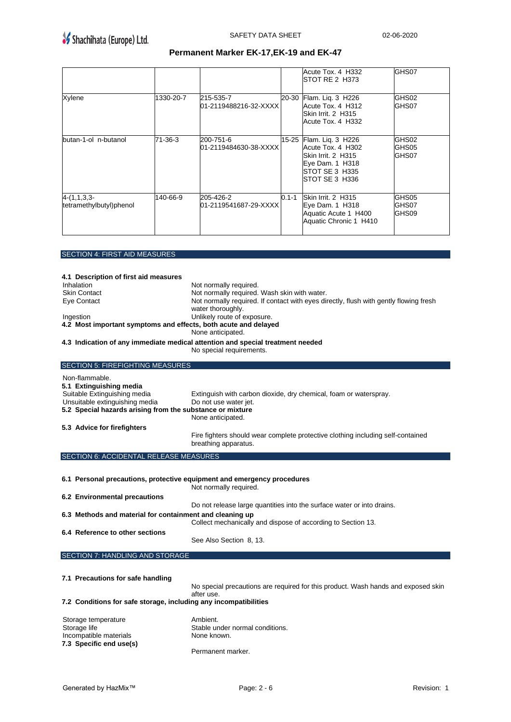# **Permanent Marker EK-17,EK-19 and EK-47**

|                                          |           |                                    |           | Acute Tox. 4 H332<br>ISTOT RE 2 H373                                                                                        | GHS07                   |
|------------------------------------------|-----------|------------------------------------|-----------|-----------------------------------------------------------------------------------------------------------------------------|-------------------------|
| Xylene                                   | 1330-20-7 | 215-535-7<br>01-2119488216-32-XXXX | 20-30     | Flam. Liq. 3 H226<br>Acute Tox, 4 H312<br>Skin Irrit. 2 H315<br>Acute Tox. 4 H332                                           | GHS02<br>GHS07          |
| butan-1-ol n-butanol                     | 71-36-3   | 200-751-6<br>01-2119484630-38-XXXX |           | 15-25 Flam. Liq. 3 H226<br>Acute Tox, 4 H302<br>Skin Irrit. 2 H315<br>Eye Dam. 1 H318<br>ISTOT SE 3 H335<br>ISTOT SE 3 H336 | GHS02<br>GHS05<br>GHS07 |
| $4-(1,1,3,3-$<br>tetramethylbutyl)phenol | 140-66-9  | 205-426-2<br>01-2119541687-29-XXXX | $0.1 - 1$ | Skin Irrit. 2 H315<br>Eye Dam. 1 H318<br>Aquatic Acute 1 H400<br>Aquatic Chronic 1 H410                                     | GHS05<br>GHS07<br>GHS09 |

SECTION 4: FIRST AID MEASURES

| 4.1 Description of first aid measures                                   |                                                                                       |
|-------------------------------------------------------------------------|---------------------------------------------------------------------------------------|
| Inhalation                                                              | Not normally required.                                                                |
| <b>Skin Contact</b>                                                     | Not normally required. Wash skin with water.                                          |
| Eye Contact                                                             | Not normally required. If contact with eyes directly, flush with gently flowing fresh |
|                                                                         | water thoroughly.                                                                     |
| Ingestion                                                               | Unlikely route of exposure.                                                           |
| 4.2 Most important symptoms and effects, both acute and delayed         |                                                                                       |
|                                                                         | None anticipated.                                                                     |
|                                                                         | 4.3 Indication of any immediate medical attention and special treatment needed        |
|                                                                         | No special requirements.                                                              |
| <b>SECTION 5: FIREFIGHTING MEASURES</b>                                 |                                                                                       |
| Non-flammable.                                                          |                                                                                       |
| 5.1 Extinguishing media                                                 |                                                                                       |
| Suitable Extinguishing media                                            | Extinguish with carbon dioxide, dry chemical, foam or waterspray.                     |
| Unsuitable extinguishing media                                          | Do not use water jet.                                                                 |
| 5.2 Special hazards arising from the substance or mixture               |                                                                                       |
|                                                                         | None anticipated.                                                                     |
| 5.3 Advice for firefighters                                             |                                                                                       |
|                                                                         | Fire fighters should wear complete protective clothing including self-contained       |
|                                                                         | breathing apparatus.                                                                  |
|                                                                         |                                                                                       |
| SECTION 6: ACCIDENTAL RELEASE MEASURES                                  |                                                                                       |
|                                                                         |                                                                                       |
| 6.1 Personal precautions, protective equipment and emergency procedures |                                                                                       |
|                                                                         | Not normally required.                                                                |
| 6.2 Environmental precautions                                           |                                                                                       |
|                                                                         | Do not release large quantities into the surface water or into drains.                |
| 6.3 Methods and material for containment and cleaning up                |                                                                                       |
|                                                                         | Collect mechanically and dispose of according to Section 13.                          |
| 6.4 Reference to other sections                                         |                                                                                       |
|                                                                         | See Also Section 8, 13.                                                               |
|                                                                         |                                                                                       |
| SECTION 7: HANDLING AND STORAGE                                         |                                                                                       |
|                                                                         |                                                                                       |
|                                                                         |                                                                                       |
| 7.1 Precautions for safe handling                                       |                                                                                       |
|                                                                         | No special precautions are required for this product. Wash hands and exposed skin     |
|                                                                         | after use.                                                                            |
| 7.2 Conditions for safe storage, including any incompatibilities        |                                                                                       |

| Storage temperature<br>Storage life               | Ambient.<br>Stable under normal conditions. |
|---------------------------------------------------|---------------------------------------------|
| Incompatible materials<br>7.3 Specific end use(s) | None known.                                 |
|                                                   | Permanent marker.                           |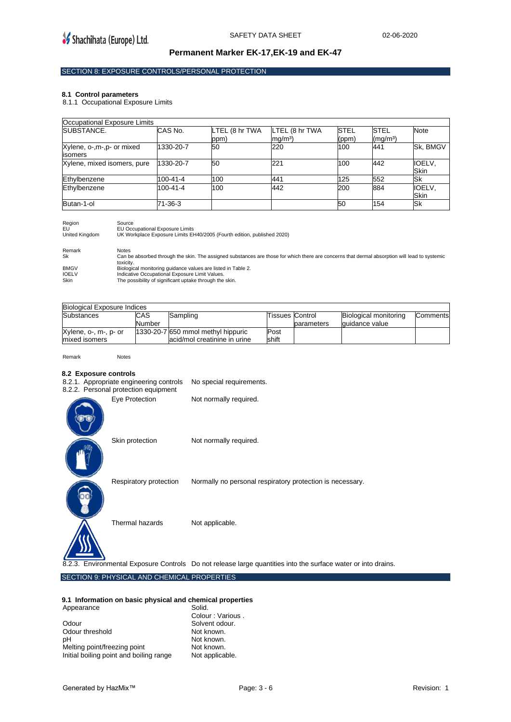### **Permanent Marker EK-17,EK-19 and EK-47**

## SECTION 8: EXPOSURE CONTROLS/PERSONAL PROTECTION

#### **8.1 Control parameters**

8.1.1 Occupational Exposure Limits

| Occupational Exposure Limits         |           |                        |                                     |                      |                                     |                |
|--------------------------------------|-----------|------------------------|-------------------------------------|----------------------|-------------------------------------|----------------|
| SUBSTANCE.                           | CAS No.   | LTEL (8 hr TWA<br>ppm) | LTEL (8 hr TWA<br>mg/m <sup>3</sup> | <b>STEL</b><br>(ppm) | <b>STEL</b><br>(mg/m <sup>3</sup> ) | <b>Note</b>    |
| Xylene, o-,m-,p- or mixed<br>isomers | 1330-20-7 | 50                     | 220                                 | 100                  | 441                                 | Sk. BMGV       |
| Xylene, mixed isomers, pure          | 1330-20-7 | 50                     | 221                                 | 100                  | 442                                 | IOELV,<br>Skin |
| Ethylbenzene                         | 100-41-4  | 100                    | 441                                 | 125                  | 552                                 | Sk             |
| Ethylbenzene                         | 100-41-4  | 100                    | 442                                 | 200                  | 884                                 | IOELV,<br>Skin |
| Butan-1-ol                           | 71-36-3   |                        |                                     | 50                   | 154                                 | lSk            |

| Region<br>EU<br>United Kinadom | Source<br><b>EU Occupational Exposure Limits</b><br>UK Workplace Exposure Limits EH40/2005 (Fourth edition, published 2020)                                |
|--------------------------------|------------------------------------------------------------------------------------------------------------------------------------------------------------|
| Remark                         | <b>Notes</b>                                                                                                                                               |
| Sk                             | Can be absorbed through the skin. The assigned substances are those for which there are concerns that dermal absorption will lead to systemic<br>toxicity. |
| BMGV                           | Biological monitoring guidance values are listed in Table 2.                                                                                               |
| <b>IOELV</b>                   | Indicative Occupational Exposure Limit Values.                                                                                                             |
| <b>Skin</b>                    | The possibility of significant uptake through the skin.                                                                                                    |

**Biological Exposure Indices**<br>Substances **CAS** Substances Number Sampling Tissues Control parameters Biological monitoring guidance value **Comments** Xylene, o-, m-, p- or 1330-20-7 650 mmol methyl hippuric Post

| .                                      | <b>Number</b> |                                                                    |               | parameters | lquidance value |  |
|----------------------------------------|---------------|--------------------------------------------------------------------|---------------|------------|-----------------|--|
| Xylene, o-, m-, p- or<br>mixed isomers |               | 1330-20-7 650 mmol methyl hippuric<br>acid/mol creatinine in urine | Post<br>shift |            |                 |  |
|                                        |               |                                                                    |               |            |                 |  |

Remark Notes

#### **8.2 Exposure controls**

| 8.2.1. Appropriate engineering controls<br>8.2.2. Personal protection equipment | No special requirements.                                  |
|---------------------------------------------------------------------------------|-----------------------------------------------------------|
| Eye Protection                                                                  | Not normally required.                                    |
| Skin protection                                                                 | Not normally required.                                    |
| Respiratory protection                                                          | Normally no personal respiratory protection is necessary. |
| Thermal hazards                                                                 | Not applicable.                                           |

8.2.3. Environmental Exposure Controls Do not release large quantities into the surface water or into drains.

## SECTION 9: PHYSICAL AND CHEMICAL PROPERTIES

#### **9.1 Information on basic physical and chemical properties**  Appearance

Odour Solvent odour. Odour threshold pH Not known.<br>Melting point/freezing point Not known. Melting point/freezing point Not known.<br>
Initial boiling point and boiling range Not applicable. Initial boiling point and boiling range

Colour : Various .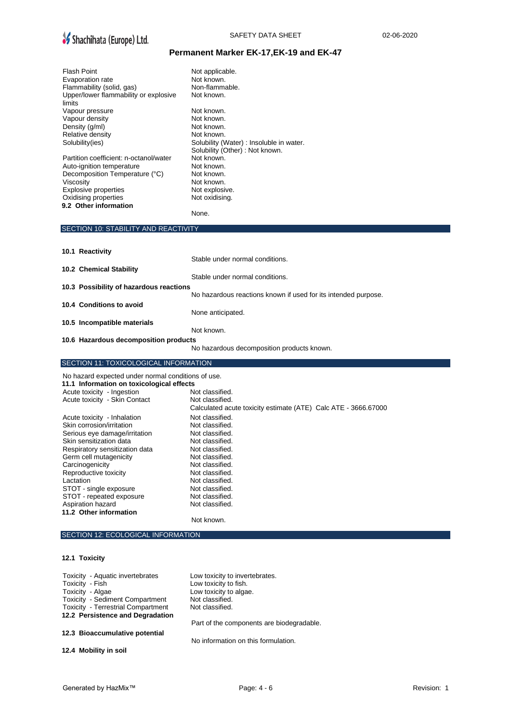

# SAFETY DATA SHEET 02-06-2020

# **Permanent Marker EK-17,EK-19 and EK-47**

| <b>Flash Point</b><br>Evaporation rate<br>Flammability (solid, gas)<br>Upper/lower flammability or explosive<br>limits<br>Vapour pressure<br>Vapour density<br>Density (g/ml)<br>Relative density<br>Solubility(ies)<br>Partition coefficient: n-octanol/water<br>Auto-ignition temperature<br>Decomposition Temperature (°C)<br>Viscosity<br>Explosive properties<br>Oxidising properties | Not applicable.<br>Not known.<br>Non-flammable.<br>Not known.<br>Not known.<br>Not known.<br>Not known.<br>Not known.<br>Solubility (Water) : Insoluble in water.<br>Solubility (Other) : Not known.<br>Not known.<br>Not known.<br>Not known.<br>Not known.<br>Not explosive.<br>Not oxidising. |
|--------------------------------------------------------------------------------------------------------------------------------------------------------------------------------------------------------------------------------------------------------------------------------------------------------------------------------------------------------------------------------------------|--------------------------------------------------------------------------------------------------------------------------------------------------------------------------------------------------------------------------------------------------------------------------------------------------|
| 9.2 Other information                                                                                                                                                                                                                                                                                                                                                                      | None.                                                                                                                                                                                                                                                                                            |
| SECTION 10: STABILITY AND REACTIVITY                                                                                                                                                                                                                                                                                                                                                       |                                                                                                                                                                                                                                                                                                  |
| 10.1 Reactivity                                                                                                                                                                                                                                                                                                                                                                            |                                                                                                                                                                                                                                                                                                  |
|                                                                                                                                                                                                                                                                                                                                                                                            | Stable under normal conditions.                                                                                                                                                                                                                                                                  |
| 10.2 Chemical Stability                                                                                                                                                                                                                                                                                                                                                                    | Stable under normal conditions.                                                                                                                                                                                                                                                                  |
| 10.3 Possibility of hazardous reactions                                                                                                                                                                                                                                                                                                                                                    |                                                                                                                                                                                                                                                                                                  |
| 10.4 Conditions to avoid                                                                                                                                                                                                                                                                                                                                                                   | No hazardous reactions known if used for its intended purpose.                                                                                                                                                                                                                                   |
| 10.5 Incompatible materials                                                                                                                                                                                                                                                                                                                                                                | None anticipated.<br>Not known.                                                                                                                                                                                                                                                                  |
| 10.6 Hazardous decomposition products                                                                                                                                                                                                                                                                                                                                                      |                                                                                                                                                                                                                                                                                                  |
|                                                                                                                                                                                                                                                                                                                                                                                            | No hazardous decomposition products known.                                                                                                                                                                                                                                                       |
| SECTION 11: TOXICOLOGICAL INFORMATION                                                                                                                                                                                                                                                                                                                                                      |                                                                                                                                                                                                                                                                                                  |
|                                                                                                                                                                                                                                                                                                                                                                                            |                                                                                                                                                                                                                                                                                                  |
| No hazard expected under normal conditions of use.                                                                                                                                                                                                                                                                                                                                         |                                                                                                                                                                                                                                                                                                  |
| 11.1 Information on toxicological effects<br>Acute toxicity - Ingestion                                                                                                                                                                                                                                                                                                                    | Not classified.                                                                                                                                                                                                                                                                                  |
| Acute toxicity - Skin Contact                                                                                                                                                                                                                                                                                                                                                              | Not classified.<br>Calculated acute toxicity estimate (ATE) Calc ATE - 3666.67000                                                                                                                                                                                                                |
| Acute toxicity - Inhalation                                                                                                                                                                                                                                                                                                                                                                | Not classified.                                                                                                                                                                                                                                                                                  |
| Skin corrosion/irritation<br>Serious eye damage/irritation                                                                                                                                                                                                                                                                                                                                 | Not classified.<br>Not classified.                                                                                                                                                                                                                                                               |
| Skin sensitization data                                                                                                                                                                                                                                                                                                                                                                    | Not classified.                                                                                                                                                                                                                                                                                  |
| Respiratory sensitization data<br>Germ cell mutagenicity                                                                                                                                                                                                                                                                                                                                   | Not classified.<br>Not classified.                                                                                                                                                                                                                                                               |
| Carcinogenicity                                                                                                                                                                                                                                                                                                                                                                            | Not classified.                                                                                                                                                                                                                                                                                  |
| Reproductive toxicity<br>Lactation                                                                                                                                                                                                                                                                                                                                                         | Not classified.<br>Not classified.                                                                                                                                                                                                                                                               |
| STOT - single exposure                                                                                                                                                                                                                                                                                                                                                                     | Not classified.                                                                                                                                                                                                                                                                                  |
| STOT - repeated exposure                                                                                                                                                                                                                                                                                                                                                                   | Not classified.                                                                                                                                                                                                                                                                                  |
| Aspiration hazard<br>11.2 Other information                                                                                                                                                                                                                                                                                                                                                | Not classified.                                                                                                                                                                                                                                                                                  |
|                                                                                                                                                                                                                                                                                                                                                                                            | Not known.                                                                                                                                                                                                                                                                                       |
| SECTION 12: ECOLOGICAL INFORMATION                                                                                                                                                                                                                                                                                                                                                         |                                                                                                                                                                                                                                                                                                  |
| 12.1 Toxicity                                                                                                                                                                                                                                                                                                                                                                              |                                                                                                                                                                                                                                                                                                  |
| Toxicity - Aquatic invertebrates                                                                                                                                                                                                                                                                                                                                                           | Low toxicity to invertebrates.                                                                                                                                                                                                                                                                   |
| Toxicity - Fish                                                                                                                                                                                                                                                                                                                                                                            | Low toxicity to fish.                                                                                                                                                                                                                                                                            |
| Toxicity - Algae                                                                                                                                                                                                                                                                                                                                                                           | Low toxicity to algae.                                                                                                                                                                                                                                                                           |
| <b>Toxicity - Sediment Compartment</b><br><b>Toxicity - Terrestrial Compartment</b>                                                                                                                                                                                                                                                                                                        | Not classified.<br>Not classified.                                                                                                                                                                                                                                                               |
| 12.2 Persistence and Degradation                                                                                                                                                                                                                                                                                                                                                           |                                                                                                                                                                                                                                                                                                  |
| 12.3 Bioaccumulative potential                                                                                                                                                                                                                                                                                                                                                             | Part of the components are biodegradable.                                                                                                                                                                                                                                                        |
| 12.4 Mobility in soil                                                                                                                                                                                                                                                                                                                                                                      | No information on this formulation.                                                                                                                                                                                                                                                              |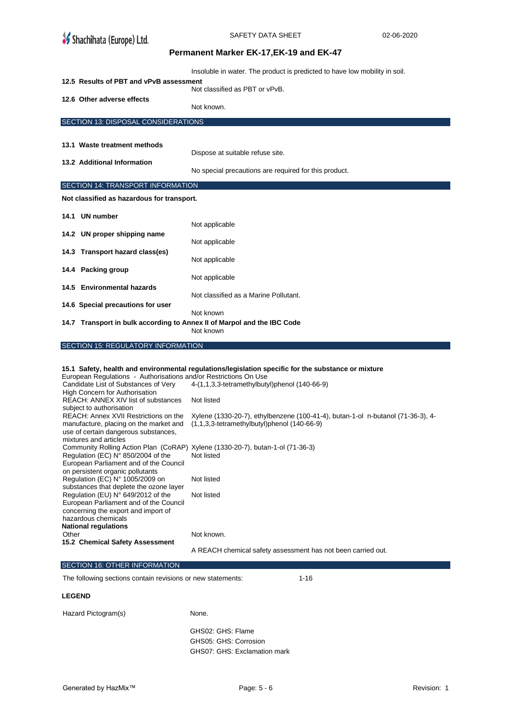| <b>Shachihata (Europe) Ltd.</b>                                                 | SAFETY DATA SHEET                                                                                                                   | 02-06-2020 |
|---------------------------------------------------------------------------------|-------------------------------------------------------------------------------------------------------------------------------------|------------|
|                                                                                 | Permanent Marker EK-17, EK-19 and EK-47                                                                                             |            |
|                                                                                 | Insoluble in water. The product is predicted to have low mobility in soil.                                                          |            |
| 12.5 Results of PBT and vPvB assessment                                         | Not classified as PBT or vPvB.                                                                                                      |            |
| 12.6 Other adverse effects                                                      | Not known.                                                                                                                          |            |
| SECTION 13: DISPOSAL CONSIDERATIONS                                             |                                                                                                                                     |            |
|                                                                                 |                                                                                                                                     |            |
| 13.1 Waste treatment methods                                                    | Dispose at suitable refuse site.                                                                                                    |            |
| 13.2 Additional Information                                                     | No special precautions are required for this product.                                                                               |            |
| SECTION 14: TRANSPORT INFORMATION                                               |                                                                                                                                     |            |
| Not classified as hazardous for transport.                                      |                                                                                                                                     |            |
| 14.1 UN number                                                                  | Not applicable                                                                                                                      |            |
| 14.2 UN proper shipping name                                                    | Not applicable                                                                                                                      |            |
| 14.3 Transport hazard class(es)                                                 | Not applicable                                                                                                                      |            |
| 14.4 Packing group                                                              |                                                                                                                                     |            |
| 14.5 Environmental hazards                                                      | Not applicable                                                                                                                      |            |
| 14.6 Special precautions for user                                               | Not classified as a Marine Pollutant.                                                                                               |            |
| 14.7 Transport in bulk according to Annex II of Marpol and the IBC Code         | Not known                                                                                                                           |            |
|                                                                                 | Not known                                                                                                                           |            |
| SECTION 15: REGULATORY INFORMATION                                              |                                                                                                                                     |            |
| European Regulations - Authorisations and/or Restrictions On Use                | 15.1 Safety, health and environmental regulations/legislation specific for the substance or mixture                                 |            |
| Candidate List of Substances of Very<br>High Concern for Authorisation          | 4-(1,1,3,3-tetramethylbutyl)phenol (140-66-9)                                                                                       |            |
| REACH: ANNEX XIV list of substances<br>subject to authorisation                 | Not listed                                                                                                                          |            |
| REACH: Annex XVII Restrictions on the<br>manufacture, placing on the market and | Xylene (1330-20-7), ethylbenzene (100-41-4), butan-1-ol n-butanol (71-36-3), 4-<br>$(1,1,3,3$ -tetramethylbutyl)phenol $(140-66-9)$ |            |
| use of certain dangerous substances,<br>mixtures and articles                   |                                                                                                                                     |            |
| Regulation (EC) N° 850/2004 of the                                              | Community Rolling Action Plan (CoRAP) Xylene (1330-20-7), butan-1-ol (71-36-3)<br>Not listed                                        |            |
| European Parliament and of the Council<br>on persistent organic pollutants      |                                                                                                                                     |            |
| Regulation (EC) N° 1005/2009 on<br>substances that deplete the ozone layer      | Not listed                                                                                                                          |            |
| Regulation (EU) N° 649/2012 of the<br>European Parliament and of the Council    | Not listed                                                                                                                          |            |
| concerning the export and import of<br>hazardous chemicals                      |                                                                                                                                     |            |
| <b>National regulations</b><br>Other<br>15.2 Chemical Safety Assessment         | Not known.                                                                                                                          |            |
|                                                                                 | A REACH chemical safety assessment has not been carried out.                                                                        |            |
| SECTION 16: OTHER INFORMATION                                                   |                                                                                                                                     |            |
| The following sections contain revisions or new statements:                     | $1 - 16$                                                                                                                            |            |
| <b>LEGEND</b>                                                                   |                                                                                                                                     |            |
| Hazard Pictogram(s)                                                             | None.                                                                                                                               |            |

GHS02: GHS: Flame GHS05: GHS: Corrosion GHS07: GHS: Exclamation mark